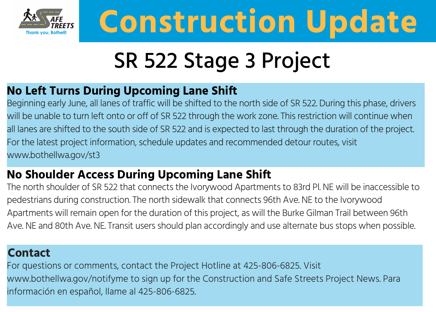

# **Construction Update**

## SR 522 Stage 3 Project

### **No Left Turns During Upcoming Lane Shift**

Beginning early June, all lanes of traffic will be shifted to the north side of SR 522. During this phase, drivers will be unable to turn left onto or off of SR 522 through the work zone. This restriction will continue when all lanes are shifted to the south side of SR 522 and is expected to last through the duration of the project. For the latest project information, schedule updates and recommended detour routes, visit www.bothellwa.gov/st3

### **No Shoulder Access During Upcoming Lane Shift**

The north shoulder of SR 522 that connects the Ivorywood Apartments to 83rd Pl. NE will be inaccessible to pedestrians during construction. The north sidewalk that connects 96th Ave. NE to the Ivorywood Apartments will remain open for the duration of this project, as will the Burke Gilman Trail between 96th Ave. NE and 80th Ave. NE. Transit users should plan accordingly and use alternate bus stops when possible.

#### **Contact**

For questions or comments, contact the Project Hotline at 425-806-6825. Visit www.bothellwa.gov/notifyme to sign up for the Construction and Safe Streets Project News. Para información en español, llame al 425-806-6825.